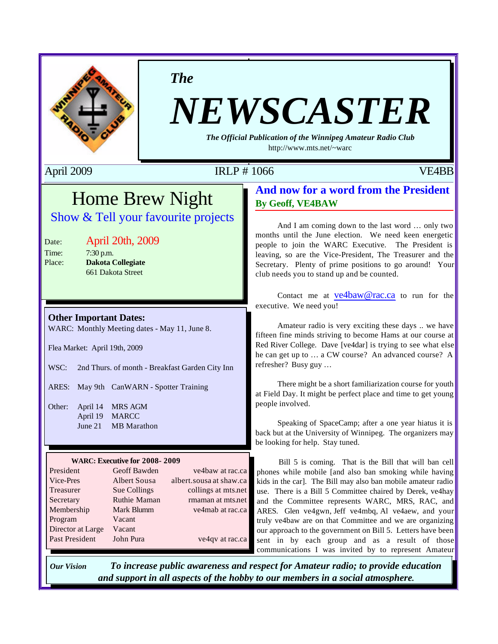

*The*

# *NEWSCASTER*

*The Official Publication of the Winnipeg Amateur Radio Club* http://www.mts.net/~warc

### April 2009 **IRLP # 1066** VE4BB

## Home Brew Night Show & Tell your favourite projects

### Date: April 20th, 2009

Time: 7:30 p.m. Place: **Dakota Collegiate** 661 Dakota Street

### **Other Important Dates:**

WARC: Monthly Meeting dates - May 11, June 8.

Flea Market: April 19th, 2009

WSC: 2nd Thurs. of month - Breakfast Garden City Inn

ARES: May 9th CanWARN - Spotter Training

Other: April 14 MRS AGM April 19 MARCC June 21 MB Marathon

### **WARC: Executive for 2008- 2009**

| President             | Geoff Bawden        | ve4baw at rac.ca        |
|-----------------------|---------------------|-------------------------|
| Vice-Pres             | <b>Albert Sousa</b> | albert.sousa at shaw.ca |
| Treasurer             | Sue Collings        | collings at mts.net     |
| Secretary             | Ruthie Maman        | rmaman at mts.net       |
| Membership            | Mark Blumm          | ve4mab at rac.ca        |
| Program               | Vacant              |                         |
| Director at Large     | Vacant              |                         |
| <b>Past President</b> | John Pura           | ve4qv at rac.ca         |
|                       |                     |                         |

### **And now for a word from the President By Geoff, VE4BAW**

And I am coming down to the last word … only two months until the June election. We need keen energetic people to join the WARC Executive. The President is leaving, so are the Vice-President, The Treasurer and the Secretary. Plenty of prime positions to go around! Your club needs you to stand up and be counted.

Contact me at ve4baw@rac.ca to run for the executive. We need you!

Amateur radio is very exciting these days .. we have fifteen fine minds striving to become Hams at our course at Red River College. Dave [ve4dar] is trying to see what else he can get up to … a CW course? An advanced course? A refresher? Busy guy …

There might be a short familiarization course for youth at Field Day. It might be perfect place and time to get young people involved.

Speaking of SpaceCamp; after a one year hiatus it is back but at the University of Winnipeg. The organizers may be looking for help. Stay tuned.

Bill 5 is coming. That is the Bill that will ban cell phones while mobile [and also ban smoking while having kids in the car]. The Bill may also ban mobile amateur radio use. There is a Bill 5 Committee chaired by Derek, ve4hay and the Committee represents WARC, MRS, RAC, and ARES. Glen ve4gwn, Jeff ve4mbq, Al ve4aew, and your truly ve4baw are on that Committee and we are organizing our approach to the government on Bill 5. Letters have been sent in by each group and as a result of those communications I was invited by to represent Amateur

*Our Vision To increase public awareness and respect for Amateur radio; to provide education and support in all aspects of the hobby to our members in a social atmosphere.*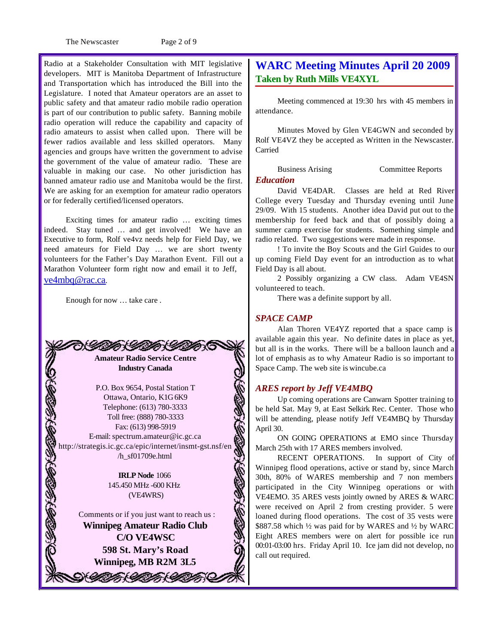The Newscaster Page 2 of 9

Radio at a Stakeholder Consultation with MIT legislative developers. MIT is Manitoba Department of Infrastructure and Transportation which has introduced the Bill into the Legislature. I noted that Amateur operators are an asset to public safety and that amateur radio mobile radio operation is part of our contribution to public safety. Banning mobile radio operation will reduce the capability and capacity of radio amateurs to assist when called upon. There will be fewer radios available and less skilled operators. Many agencies and groups have written the government to advise the government of the value of amateur radio. These are valuable in making our case. No other jurisdiction has banned amateur radio use and Manitoba would be the first. We are asking for an exemption for amateur radio operators or for federally certified/licensed operators.

Exciting times for amateur radio … exciting times indeed. Stay tuned … and get involved! We have an Executive to form, Rolf ve4vz needs help for Field Day, we need amateurs for Field Day … we are short twenty volunteers for the Father's Day Marathon Event. Fill out a Marathon Volunteer form right now and email it to Jeff, ve4mbq@rac.ca.

Enough for now … take care .



P.O. Box 9654, Postal Station T Ottawa, Ontario, K1G 6K9 Telephone: (613) 780-3333 Toll free: (888) 780-3333 Fax: (613) 998-5919 E-mail: spectrum.amateur@ic.gc.ca 40540 http://strategis.ic.gc.ca/epic/internet/insmt-gst.nsf/en /h\_sf01709e.html

**IRLP Node** 1066 145.450 MHz -600 KHz (VE4WRS)

Comments or if you just want to reach us : **Winnipeg Amateur Radio Club C/O VE4WSC 598 St. Mary's Road Winnipeg, MB R2M 3L5**

GOTA GOTA GOTA

### **WARC Meeting Minutes April 20 2009 Taken by Ruth Mills VE4XYL**

Meeting commenced at 19:30 hrs with 45 members in attendance.

Minutes Moved by Glen VE4GWN and seconded by Rolf VE4VZ they be accepted as Written in the Newscaster. Carried

Business Arising Committee Reports

### *Education*

David VE4DAR. Classes are held at Red River College every Tuesday and Thursday evening until June 29/09. With 15 students. Another idea David put out to the membership for feed back and that of possibly doing a summer camp exercise for students. Something simple and radio related. Two suggestions were made in response.

! To invite the Boy Scouts and the Girl Guides to our up coming Field Day event for an introduction as to what Field Day is all about.

2 Possibly organizing a CW class. Adam VE4SN volunteered to teach.

There was a definite support by all.

### *SPACE CAMP*

Alan Thoren VE4YZ reported that a space camp is available again this year. No definite dates in place as yet, but all is in the works. There will be a balloon launch and a lot of emphasis as to why Amateur Radio is so important to Space Camp. The web site is wincube.ca

#### *ARES report by Jeff VE4MBQ*

Up coming operations are Canwarn Spotter training to be held Sat. May 9, at East Selkirk Rec. Center. Those who will be attending, please notify Jeff VE4MBQ by Thursday April 30.

ON GOING OPERATIONS at EMO since Thursday March 25th with 17 ARES members involved.

RECENT OPERATIONS. In support of City of Winnipeg flood operations, active or stand by, since March 30th, 80% of WARES membership and 7 non members participated in the City Winnipeg operations or with VE4EMO. 35 ARES vests jointly owned by ARES & WARC were received on April 2 from cresting provider. 5 were loaned during flood operations. The cost of 35 vests were \$887.58 which ½ was paid for by WARES and ½ by WARC Eight ARES members were on alert for possible ice run 00:01-03:00 hrs. Friday April 10. Ice jam did not develop, no call out required.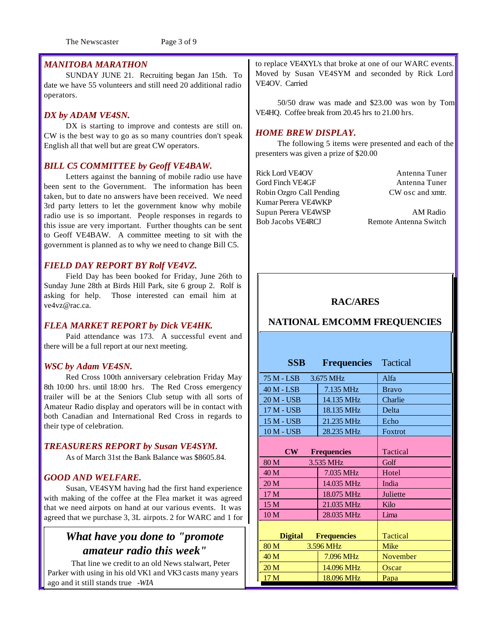The Newscaster Page 3 of 9

### *MANITOBA MARATHON*

SUNDAY JUNE 21. Recruiting began Jan 15th. To date we have 55 volunteers and still need 20 additional radio operators.

### *DX by ADAM VE4SN.*

DX is starting to improve and contests are still on. CW is the best way to go as so many countries don't speak English all that well but are great CW operators.

### *BILL C5 COMMITTEE by Geoff VE4BAW.*

Letters against the banning of mobile radio use have been sent to the Government. The information has been taken, but to date no answers have been received. We need 3rd party letters to let the government know why mobile radio use is so important. People responses in regards to this issue are very important. Further thoughts can be sent to Geoff VE4BAW. A committee meeting to sit with the government is planned as to why we need to change Bill C5.

### *FIELD DAY REPORT BY Rolf VE4VZ.*

Field Day has been booked for Friday, June 26th to Sunday June 28th at Birds Hill Park, site 6 group 2. Rolf is asking for help. Those interested can email him at ve4vz@rac.ca.

### *FLEA MARKET REPORT by Dick VE4HK.*

Paid attendance was 173. A successful event and there will be a full report at our next meeting.

#### *WSC by Adam VE4SN.*

Red Cross 100th anniversary celebration Friday May 8th 10:00 hrs. until 18:00 hrs. The Red Cross emergency trailer will be at the Seniors Club setup with all sorts of Amateur Radio display and operators will be in contact with both Canadian and International Red Cross in regards to their type of celebration.

#### *TREASURERS REPORT by Susan VE4SYM.*

As of March 31st the Bank Balance was \$8605.84.

### *GOOD AND WELFARE.*

Susan, VE4SYM having had the first hand experience with making of the coffee at the Flea market it was agreed that we need airpots on hand at our various events. It was agreed that we purchase 3, 3L airpots. 2 for WARC and 1 for

### *What have you done to "promote amateur radio this week"*

 That line we credit to an old News stalwart, Peter Parker with using in his old VK1 and VK3 casts many years ago and it still stands true *-WIA*

to replace VE4XYL's that broke at one of our WARC events. Moved by Susan VE4SYM and seconded by Rick Lord VE4OV. Carried

50/50 draw was made and \$23.00 was won by Tom VE4HQ. Coffee break from 20.45 hrs to 21.00 hrs.

#### *HOME BREW DISPLAY.*

The following 5 items were presented and each of the presenters was given a prize of \$20.00

Rick Lord VE4OV Antenna Tuner Gord Finch VE4GF Antenna Tuner Robin Ozgro Call Pending CW osc and xmtr. Kumar Perera VE4WKP Supun Perera VE4WSP AM Radio Bob Jacobs VE4RCJ Remote Antenna Switch

### **RAC/ARES**

### **NATIONAL EMCOMM FREQUENCIES**

| <b>SSB</b><br><b>Frequencies</b>     |                    | <b>Tactical</b> |
|--------------------------------------|--------------------|-----------------|
| 75 M - LSB<br>3.675 MHz              |                    | Alfa            |
| $40 M - LSB$                         | 7.135 MHz          | <b>Bravo</b>    |
| 20 M - USB                           | 14.135 MHz         | Charlie         |
| 17 M - USB                           | 18.135 MHz         | Delta           |
| 15 M - USB                           | 21.235 MHz         | Echo            |
| 10 M - USB                           | 28.235 MHz         | Foxtrot         |
| $\mathbf{CW}$                        | <b>Frequencies</b> | Tactical        |
| 80 M                                 | 3.535 MHz          | Golf            |
| 40 M                                 | 7.035 MHz          | Hotel           |
| 20 <sub>M</sub>                      | 14.035 MHz         | India           |
| 17 <sub>M</sub>                      | 18.075 MHz         | Juliette        |
| 15 M                                 | 21.035 MHz         | Kilo            |
| 10 <sub>M</sub>                      | 28.035 MHz         | Lima            |
| <b>Digital</b><br><b>Frequencies</b> |                    | Tactical        |
| 80 M<br>3.596 MHz                    |                    | Mike            |
| 40 <sub>M</sub>                      | 7.096 MHz          | November        |
| 20 <sub>M</sub>                      | 14.096 MHz         | Oscar           |
| 17 <sub>M</sub>                      | 18.096 MHz         | Papa            |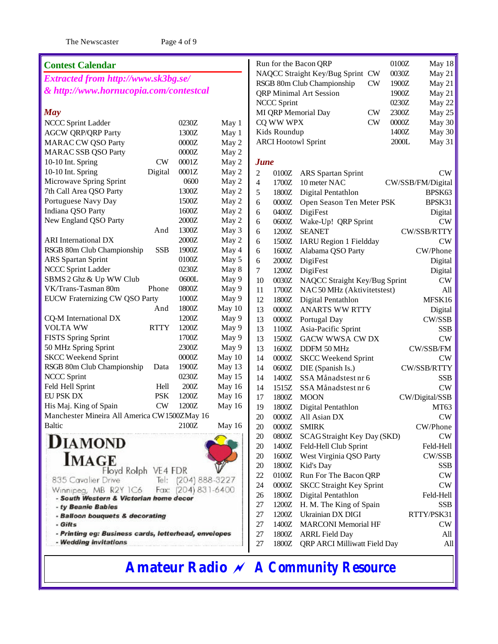The Newscaster Page 4 of 9

| <b>Contest Calendar</b>                              |             |                     |        |                |                    | Run for the Bacon QRP                   | 0100Z | May 18            |
|------------------------------------------------------|-------------|---------------------|--------|----------------|--------------------|-----------------------------------------|-------|-------------------|
| Extracted from http://www.sk3bg.se/                  |             |                     |        |                |                    | NAQCC Straight Key/Bug Sprint CW        | 0030Z | May 21            |
|                                                      |             |                     |        |                |                    | RSGB 80m Club Championship<br><b>CW</b> | 1900Z | May 21            |
| & http://www.hornucopia.com/contestcal               |             |                     |        |                |                    | <b>QRP</b> Minimal Art Session          | 1900Z | May 21            |
|                                                      |             |                     |        |                | <b>NCCC Sprint</b> |                                         | 0230Z | May 22            |
| <b>May</b>                                           |             |                     |        |                |                    | MI QRP Memorial Day<br><b>CW</b>        | 2300Z | May 25            |
| NCCC Sprint Ladder                                   |             | 0230Z               | May 1  |                | CQ WW WPX          | <b>CW</b>                               | 0000Z | May 30            |
| <b>AGCW QRP/QRP Party</b>                            |             | 1300Z               | May 1  |                | Kids Roundup       |                                         | 1400Z | May 30            |
| <b>MARAC CW QSO Party</b>                            |             | 0000Z               | May 2  |                |                    | <b>ARCI Hootowl Sprint</b>              | 2000L | May 31            |
| <b>MARAC SSB QSO Party</b>                           |             | 0000Z               | May 2  |                |                    |                                         |       |                   |
| 10-10 Int. Spring                                    | <b>CW</b>   | 0001Z               | May 2  | <b>June</b>    |                    |                                         |       |                   |
| 10-10 Int. Spring                                    | Digital     | 0001Z               | May 2  | $\overline{c}$ | 0100Z              | ARS Spartan Sprint                      |       | CW                |
| Microwave Spring Sprint                              |             | 0600                | May 2  | 4              | 1700Z              | 10 meter NAC                            |       | CW/SSB/FM/Digital |
| 7th Call Area QSO Party                              |             | 1300Z               | May 2  | 5              | 1800Z              | Digital Pentathlon                      |       | BPSK63            |
| Portuguese Navy Day                                  |             | 1500Z               | May 2  | 6              | $0000Z$            | Open Season Ten Meter PSK               |       | BPSK31            |
| Indiana QSO Party                                    |             | 1600Z               | May 2  | 6              | 0400Z              | DigiFest                                |       | Digital           |
| New England QSO Party                                |             | $2000Z$             | May 2  | 6              | 0600Z              | Wake-Up! QRP Sprint                     |       | <b>CW</b>         |
|                                                      | And         | 1300Z               | May 3  | 6              | 1200Z              | <b>SEANET</b>                           |       | CW/SSB/RTTY       |
| <b>ARI</b> International DX                          |             | 2000Z               | May 2  | 6              | 1500Z              | <b>IARU</b> Region 1 Fieldday           |       | <b>CW</b>         |
| RSGB 80m Club Championship                           | <b>SSB</b>  | 1900Z               | May 4  | 6              | 1600Z              | Alabama QSO Party                       |       | CW/Phone          |
| ARS Spartan Sprint                                   |             | 0100Z               | May 5  | 6              | 2000Z              | DigiFest                                |       | Digital           |
| NCCC Sprint Ladder                                   |             | 0230Z               | May 8  | 7              | 1200Z              | DigiFest                                |       | Digital           |
| SBMS 2 Ghz & Up WW Club                              |             | 0600L               | May 9  | 10             | 0030Z              | NAQCC Straight Key/Bug Sprint           |       | <b>CW</b>         |
| VK/Trans-Tasman 80m                                  | Phone       | 0800Z               | May 9  | 11             | 1700Z              | NAC 50 MHz (Aktivitetstest)             |       | All               |
| EUCW Fraternizing CW QSO Party                       |             | 1000Z               | May 9  | 12             | 1800Z              | Digital Pentathlon                      |       | MFSK16            |
|                                                      | And         | 1800Z               | May 10 | 13             | $0000Z$            | <b>ANARTS WW RTTY</b>                   |       | Digital           |
| CQ-M International DX                                |             | 1200Z               | May 9  | 13             | $0000Z$            | Portugal Day                            |       | CW/SSB            |
| <b>VOLTA WW</b>                                      | <b>RTTY</b> | 1200Z               | May 9  | 13             | 1100Z              | Asia-Pacific Sprint                     |       | <b>SSB</b>        |
| FISTS Spring Sprint                                  |             | 1700Z               | May 9  | 13             | 1500Z              | GACW WWSA CW DX                         |       | <b>CW</b>         |
| 50 MHz Spring Sprint                                 |             | 2300Z               | May 9  | 13             | 1600Z              | DDFM 50 MHz                             |       | CW/SSB/FM         |
| <b>SKCC Weekend Sprint</b>                           |             | $0000Z$             | May 10 | 14             | $0000Z$            | <b>SKCC Weekend Sprint</b>              |       | <b>CW</b>         |
| RSGB 80m Club Championship                           | Data        | 1900Z               | May 13 | 14             | 0600Z              | DIE (Spanish Is.)                       |       | CW/SSB/RTTY       |
| <b>NCCC Sprint</b>                                   |             | 0230Z               | May 15 | 14             | 1400Z              | SSA Månadstest nr 6                     |       | <b>SSB</b>        |
| Feld Hell Sprint                                     | Hell        | 200Z                | May 16 | 14             | 1515Z              | SSA Månadstest nr 6                     |       | CW                |
| EU PSK DX                                            | <b>PSK</b>  | 1200Z               | May 16 | 17             | 1800Z              | <b>MOON</b>                             |       | CW/Digital/SSB    |
| His Maj. King of Spain                               | CW          | 1200Z               | May 16 | 19             | 1800Z              | Digital Pentathlon                      |       | MT63              |
| Manchester Mineira All America CW 1500ZMay 16        |             |                     |        | 20             |                    | 0000Z All Asian DX                      |       | <b>CW</b>         |
| Baltic                                               |             | 2100Z               | May 16 | 20             | 0000Z              | <b>SMIRK</b>                            |       | CW/Phone          |
|                                                      |             |                     |        | 20             | 0800Z              | SCAG Straight Key Day (SKD)             |       | <b>CW</b>         |
| <b>DIAMOND</b>                                       |             |                     |        | 20             | 1400Z              | Feld-Hell Club Sprint                   |       | Feld-Hell         |
|                                                      |             |                     |        | 20             | 1600Z              | West Virginia QSO Party                 |       | CW/SSB            |
| <b>IMAGE</b>                                         |             |                     |        | 20             | 1800Z              | Kid's Day                               |       | <b>SSB</b>        |
| Floyd Rolph VE4 FDR                                  |             |                     |        | 22             | 0100Z              | Run For The Bacon QRP                   |       | <b>CW</b>         |
| 835 Cavalier Drive                                   |             | Tel: (204) 888-3227 |        | 24             | 0000Z              | <b>SKCC Straight Key Sprint</b>         |       | <b>CW</b>         |
| Winnipeg, MB R2Y 1C6                                 | Fax:        | $(204) 831 - 6400$  |        | 26             | 1800Z              | Digital Pentathlon                      |       | Feld-Hell         |
| - South Western & Victorian home decor               |             |                     |        | 27             | 1200Z              | H. M. The King of Spain                 |       | <b>SSB</b>        |
| - ty Beanie Babies                                   |             |                     |        | 27             | 1200Z              | Ukrainian DX DIGI                       |       | RTTY/PSK31        |
| - Balloon bouquets & decorating<br>- Gifts           |             |                     |        | 27             | 1400Z              | <b>MARCONI</b> Memorial HF              |       | <b>CW</b>         |
| - Printing eg: Business cards, letterhead, envelopes |             |                     |        | 27             | 1800Z              | <b>ARRL Field Day</b>                   |       | All               |
| - Wedding invitations                                |             |                     |        | 27             | 1800Z              | QRP ARCI Milliwatt Field Day            |       | All               |
|                                                      |             |                     |        |                |                    |                                         |       |                   |
|                                                      |             |                     |        |                |                    |                                         |       |                   |

# **Amateur Radio** *~ A Community Resource*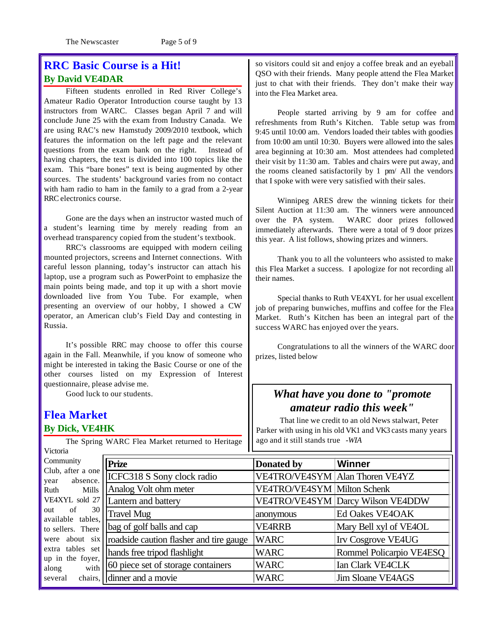### **RRC Basic Course is a Hit! By David VE4DAR**

Fifteen students enrolled in Red River College's Amateur Radio Operator Introduction course taught by 13 instructors from WARC. Classes began April 7 and will conclude June 25 with the exam from Industry Canada. We are using RAC's new Hamstudy 2009/2010 textbook, which features the information on the left page and the relevant questions from the exam bank on the right. Instead of having chapters, the text is divided into 100 topics like the exam. This "bare bones" text is being augmented by other sources. The students' background varies from no contact with ham radio to ham in the family to a grad from a 2-year RRC electronics course.

Gone are the days when an instructor wasted much of a student's learning time by merely reading from an overhead transparency copied from the student's textbook.

RRC's classrooms are equipped with modern ceiling mounted projectors, screens and Internet connections. With careful lesson planning, today's instructor can attach his laptop, use a program such as PowerPoint to emphasize the main points being made, and top it up with a short movie downloaded live from You Tube. For example, when presenting an overview of our hobby, I showed a CW operator, an American club's Field Day and contesting in Russia.

It's possible RRC may choose to offer this course again in the Fall. Meanwhile, if you know of someone who might be interested in taking the Basic Course or one of the other courses listed on my Expression of Interest questionnaire, please advise me.

Good luck to our students.

### **Flea Market By Dick, VE4HK**

The Spring WARC Flea Market returned to Heritage Victoria

so visitors could sit and enjoy a coffee break and an eyeball QSO with their friends. Many people attend the Flea Market just to chat with their friends. They don't make their way into the Flea Market area.

People started arriving by 9 am for coffee and refreshments from Ruth's Kitchen. Table setup was from 9:45 until 10:00 am. Vendors loaded their tables with goodies from 10:00 am until 10:30. Buyers were allowed into the sales area beginning at 10:30 am. Most attendees had completed their visit by 11:30 am. Tables and chairs were put away, and the rooms cleaned satisfactorily by 1 pm/ All the vendors that I spoke with were very satisfied with their sales.

Winnipeg ARES drew the winning tickets for their Silent Auction at 11:30 am. The winners were announced over the PA system. WARC door prizes followed immediately afterwards. There were a total of 9 door prizes this year. A list follows, showing prizes and winners.

Thank you to all the volunteers who assisted to make this Flea Market a success. I apologize for not recording all their names.

Special thanks to Ruth VE4XYL for her usual excellent job of preparing bunwiches, muffins and coffee for the Flea Market. Ruth's Kitchen has been an integral part of the success WARC has enjoyed over the years.

Congratulations to all the winners of the WARC door prizes, listed below

### *What have you done to "promote amateur radio this week"*

 That line we credit to an old News stalwart, Peter Parker with using in his old VK1 and VK3 casts many years ago and it still stands true *-WIA*

| Community         |         |
|-------------------|---------|
| Club, after a one |         |
| absence.<br>year  |         |
| Ruth              | Mills   |
| VE4XYL sold 27    |         |
| of 30<br>out      |         |
| available tables, |         |
| to sellers. There |         |
| were about six    |         |
| extra tables set  |         |
| up in the foyer,  |         |
| along             | with    |
| several           | chairs. |

| <b>Prize</b>                            | Donated by                         | <b>Winner</b>                     |
|-----------------------------------------|------------------------------------|-----------------------------------|
| ICFC318 S Sony clock radio              |                                    | VE4TRO/VE4SYM   Alan Thoren VE4YZ |
| Analog Volt ohm meter                   | <b>VE4TRO/VE4SYM Milton Schenk</b> |                                   |
| Lantern and battery                     |                                    | VE4TRO/VE4SYM Darcy Wilson VE4DDW |
| <b>Travel Mug</b>                       | anonymous                          | Ed Oakes VE4OAK                   |
| bag of golf balls and cap               | <b>VE4RRB</b>                      | Mary Bell xyl of VE4OL            |
| roadside caution flasher and tire gauge | <b>WARC</b>                        | Irv Cosgrove VE4UG                |
| hands free tripod flashlight            | WARC                               | Rommel Policarpio VE4ESQ          |
| 60 piece set of storage containers      | <b>WARC</b>                        | Ian Clark VE4CLK                  |
| dinner and a movie                      | <b>WARC</b>                        | <b>Jim Sloane VE4AGS</b>          |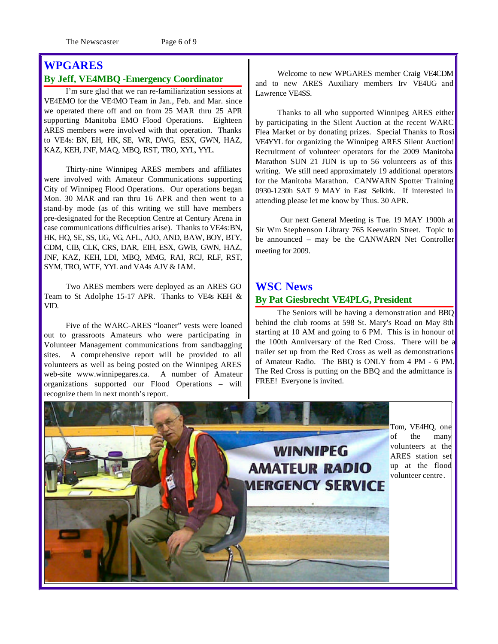The Newscaster Page 6 of 9

### **WPGARES**

### **By Jeff, VE4MBQ -Emergency Coordinator**

I'm sure glad that we ran re-familiarization sessions at VE4EMO for the VE4MO Team in Jan., Feb. and Mar. since we operated there off and on from 25 MAR thru 25 APR supporting Manitoba EMO Flood Operations. Eighteen ARES members were involved with that operation. Thanks to VE4s: BN, EH, HK, SE, WR, DWG, ESX, GWN, HAZ, KAZ, KEH, JNF, MAQ, MBQ, RST, TRO, XYL, YYL.

Thirty-nine Winnipeg ARES members and affiliates were involved with Amateur Communications supporting City of Winnipeg Flood Operations. Our operations began Mon. 30 MAR and ran thru 16 APR and then went to a stand-by mode (as of this writing we still have members pre-designated for the Reception Centre at Century Arena in case communications difficulties arise). Thanks to VE4s:BN, HK, HQ, SE, SS, UG, VG, AFL, AJO, AND, BAW, BOY, BTY, CDM, CIB, CLK, CRS, DAR, EIH, ESX, GWB, GWN, HAZ, JNF, KAZ, KEH, LDI, MBQ, MMG, RAI, RCJ, RLF, RST, SYM,TRO, WTF, YYL and VA4s AJV & IAM.

Two ARES members were deployed as an ARES GO Team to St Adolphe 15-17 APR. Thanks to VE4s KEH & VID.

Five of the WARC-ARES "loaner" vests were loaned out to grassroots Amateurs who were participating in Volunteer Management communications from sandbagging sites. A comprehensive report will be provided to all volunteers as well as being posted on the Winnipeg ARES web-site www.winnipegares.ca. A number of Amateur organizations supported our Flood Operations – will recognize them in next month's report.

Welcome to new WPGARES member Craig VE4CDM and to new ARES Auxiliary members Irv VE4UG and Lawrence VE4SS.

Thanks to all who supported Winnipeg ARES either by participating in the Silent Auction at the recent WARC Flea Market or by donating prizes. Special Thanks to Rosi VE4YYL for organizing the Winnipeg ARES Silent Auction! Recruitment of volunteer operators for the 2009 Manitoba Marathon SUN 21 JUN is up to 56 volunteers as of this writing. We still need approximately 19 additional operators for the Manitoba Marathon. CANWARN Spotter Training 0930-1230h SAT 9 MAY in East Selkirk. If interested in attending please let me know by Thus. 30 APR.

 Our next General Meeting is Tue. 19 MAY 1900h at Sir Wm Stephenson Library 765 Keewatin Street. Topic to be announced – may be the CANWARN Net Controller meeting for 2009.

### **WSC News By Pat Giesbrecht VE4PLG, President**

FREE! Everyone is invited.

The Seniors will be having a demonstration and BBQ behind the club rooms at 598 St. Mary's Road on May 8th starting at 10 AM and going to 6 PM. This is in honour of the 100th Anniversary of the Red Cross. There will be a trailer set up from the Red Cross as well as demonstrations of Amateur Radio. The BBQ is ONLY from 4 PM - 6 PM.

The Red Cross is putting on the BBQ and the admittance is

Tom, VE4HQ, one of the many volunteers at the **WINNIPEG** ARES station set **AMATEUR RADIO** up at the flood volunteer centre.**MERGENCY SERVICE**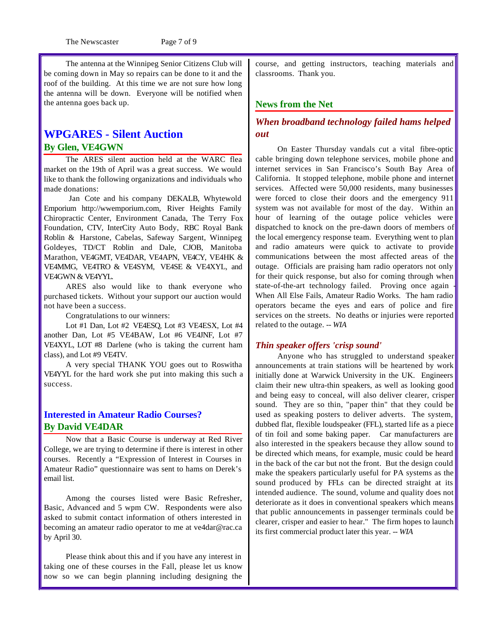The Newscaster Page 7 of 9

The antenna at the Winnipeg Senior Citizens Club will be coming down in May so repairs can be done to it and the roof of the building. At this time we are not sure how long the antenna will be down. Everyone will be notified when the antenna goes back up.

### **WPGARES - Silent Auction By Glen, VE4GWN**

The ARES silent auction held at the WARC flea market on the 19th of April was a great success. We would like to thank the following organizations and individuals who made donations:

 Jan Cote and his company DEKALB, Whytewold Emporium http://wwemporium.com, River Heights Family Chiropractic Center, Environment Canada, The Terry Fox Foundation, CTV, InterCity Auto Body, RBC Royal Bank Roblin & Harstone, Cabelas, Safeway Sargent, Winnipeg Goldeyes, TD/CT Roblin and Dale, CJOB, Manitoba Marathon, VE4GMT, VE4DAR, VE4APN, VE4CY, VE4HK & VE4MMG, VE4TRO & VE4SYM, VE4SE & VE4XYL, and VE4GWN & VE4YYL.

ARES also would like to thank everyone who purchased tickets. Without your support our auction would not have been a success.

Congratulations to our winners:

Lot #1 Dan, Lot #2 VE4ESQ, Lot #3 VE4ESX, Lot #4 another Dan, Lot #5 VE4BAW, Lot #6 VE4JNF, Lot #7 VE4XYL, LOT #8 Darlene (who is taking the current ham class), and Lot #9 VE4TV.

A very special THANK YOU goes out to Roswitha VE4YYL for the hard work she put into making this such a success.

### **Interested in Amateur Radio Courses? By David VE4DAR**

Now that a Basic Course is underway at Red River College, we are trying to determine if there is interest in other courses. Recently a "Expression of Interest in Courses in Amateur Radio" questionnaire was sent to hams on Derek's email list.

Among the courses listed were Basic Refresher, Basic, Advanced and 5 wpm CW. Respondents were also asked to submit contact information of others interested in becoming an amateur radio operator to me at ve4dar@rac.ca by April 30.

Please think about this and if you have any interest in taking one of these courses in the Fall, please let us know now so we can begin planning including designing the course, and getting instructors, teaching materials and classrooms. Thank you.

### **News from the Net**

### *When broadband technology failed hams helped out*

On Easter Thursday vandals cut a vital fibre-optic cable bringing down telephone services, mobile phone and internet services in San Francisco's South Bay Area of California. It stopped telephone, mobile phone and internet services. Affected were 50,000 residents, many businesses were forced to close their doors and the emergency 911 system was not available for most of the day. Within an hour of learning of the outage police vehicles were dispatched to knock on the pre-dawn doors of members of the local emergency response team. Everything went to plan and radio amateurs were quick to activate to provide communications between the most affected areas of the outage. Officials are praising ham radio operators not only for their quick response, but also for coming through when state-of-the-art technology failed. Proving once again When All Else Fails, Amateur Radio Works. The ham radio operators became the eyes and ears of police and fire services on the streets. No deaths or injuries were reported related to the outage. *-- WIA*

### *Thin speaker offers 'crisp sound'*

Anyone who has struggled to understand speaker announcements at train stations will be heartened by work initially done at Warwick University in the UK. Engineers claim their new ultra-thin speakers, as well as looking good and being easy to conceal, will also deliver clearer, crisper sound. They are so thin, "paper thin" that they could be used as speaking posters to deliver adverts. The system, dubbed flat, flexible loudspeaker (FFL), started life as a piece of tin foil and some baking paper. Car manufacturers are also interested in the speakers because they allow sound to be directed which means, for example, music could be heard in the back of the car but not the front. But the design could make the speakers particularly useful for PA systems as the sound produced by FFLs can be directed straight at its intended audience. The sound, volume and quality does not deteriorate as it does in conventional speakers which means that public announcements in passenger terminals could be clearer, crisper and easier to hear." The firm hopes to launch its first commercial product later this year. *-- WIA*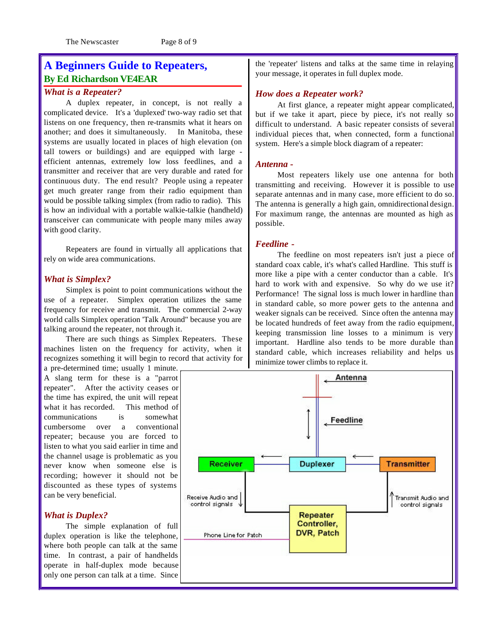### **A Beginners Guide to Repeaters, By Ed Richardson VE4EAR**

#### *What is a Repeater?*

A duplex repeater, in concept, is not really a complicated device. It's a 'duplexed' two-way radio set that listens on one frequency, then re-transmits what it hears on another; and does it simultaneously. In Manitoba, these systems are usually located in places of high elevation (on tall towers or buildings) and are equipped with large efficient antennas, extremely low loss feedlines, and a transmitter and receiver that are very durable and rated for continuous duty. The end result? People using a repeater get much greater range from their radio equipment than would be possible talking simplex (from radio to radio). This is how an individual with a portable walkie-talkie (handheld) transceiver can communicate with people many miles away with good clarity.

Repeaters are found in virtually all applications that rely on wide area communications.

#### *What is Simplex?*

Simplex is point to point communications without the use of a repeater. Simplex operation utilizes the same frequency for receive and transmit. The commercial 2-way world calls Simplex operation 'Talk Around" because you are talking around the repeater, not through it.

There are such things as Simplex Repeaters. These machines listen on the frequency for activity, when it recognizes something it will begin to record that activity for

a pre-determined time; usually 1 minute. A slang term for these is a "parrot repeater". After the activity ceases or the time has expired, the unit will repeat what it has recorded. This method of communications is somewhat cumbersome over a conventional repeater; because you are forced to listen to what you said earlier in time and the channel usage is problematic as you never know when someone else is recording; however it should not be discounted as these types of systems can be very beneficial.

#### *What is Duplex?*

The simple explanation of full duplex operation is like the telephone, where both people can talk at the same time. In contrast, a pair of handhelds operate in half-duplex mode because only one person can talk at a time. Since

the 'repeater' listens and talks at the same time in relaying your message, it operates in full duplex mode.

#### *How does a Repeater work?*

At first glance, a repeater might appear complicated, but if we take it apart, piece by piece, it's not really so difficult to understand. A basic repeater consists of several individual pieces that, when connected, form a functional system. Here's a simple block diagram of a repeater:

#### *Antenna -*

Most repeaters likely use one antenna for both transmitting and receiving. However it is possible to use separate antennas and in many case, more efficient to do so. The antenna is generally a high gain, omnidirectional design. For maximum range, the antennas are mounted as high as possible.

#### *Feedline -*

The feedline on most repeaters isn't just a piece of standard coax cable, it's what's called Hardline. This stuff is more like a pipe with a center conductor than a cable. It's hard to work with and expensive. So why do we use it? Performance! The signal loss is much lower in hardline than in standard cable, so more power gets to the antenna and weaker signals can be received. Since often the antenna may be located hundreds of feet away from the radio equipment, keeping transmission line losses to a minimum is very important. Hardline also tends to be more durable than standard cable, which increases reliability and helps us minimize tower climbs to replace it.